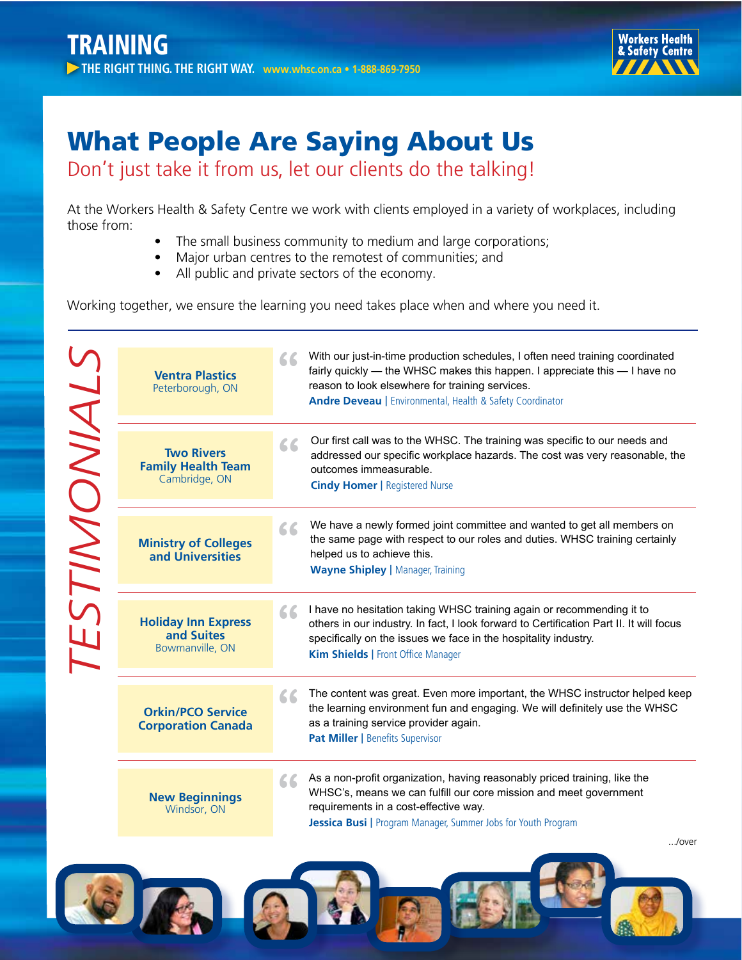

縣

## What People Are Saying About Us

Don't just take it from us, let our clients do the talking!

At the Workers Health & Safety Centre we work with clients employed in a variety of workplaces, including those from:

- The small business community to medium and large corporations;
- Major urban centres to the remotest of communities; and
- All public and private sectors of the economy.

Working together, we ensure the learning you need takes place when and where you need it.

| ESTIMONIALS | <b>Ventra Plastics</b><br>Peterborough, ON                      | With our just-in-time production schedules, I often need training coordinated<br>66<br>fairly quickly — the WHSC makes this happen. I appreciate this — I have no<br>reason to look elsewhere for training services.<br>Andre Deveau   Environmental, Health & Safety Coordinator |
|-------------|-----------------------------------------------------------------|-----------------------------------------------------------------------------------------------------------------------------------------------------------------------------------------------------------------------------------------------------------------------------------|
|             | <b>Two Rivers</b><br><b>Family Health Team</b><br>Cambridge, ON | Our first call was to the WHSC. The training was specific to our needs and<br>66<br>addressed our specific workplace hazards. The cost was very reasonable, the<br>outcomes immeasurable.<br><b>Cindy Homer   Registered Nurse</b>                                                |
|             | <b>Ministry of Colleges</b><br>and Universities                 | We have a newly formed joint committee and wanted to get all members on<br>66<br>the same page with respect to our roles and duties. WHSC training certainly<br>helped us to achieve this.<br><b>Wayne Shipley   Manager, Training</b>                                            |
|             | <b>Holiday Inn Express</b><br>and Suites<br>Bowmanville, ON     | I have no hesitation taking WHSC training again or recommending it to<br>66<br>others in our industry. In fact, I look forward to Certification Part II. It will focus<br>specifically on the issues we face in the hospitality industry.<br>Kim Shields   Front Office Manager   |
|             | <b>Orkin/PCO Service</b><br><b>Corporation Canada</b>           | The content was great. Even more important, the WHSC instructor helped keep<br>66<br>the learning environment fun and engaging. We will definitely use the WHSC<br>as a training service provider again.<br><b>Pat Miller   Benefits Supervisor</b>                               |
|             | <b>New Beginnings</b><br>Windsor, ON                            | As a non-profit organization, having reasonably priced training, like the<br>66<br>WHSC's, means we can fulfill our core mission and meet government<br>requirements in a cost-effective way.<br><b>Jessica Busi</b>   Program Manager, Summer Jobs for Youth Program             |
|             |                                                                 | /over                                                                                                                                                                                                                                                                             |